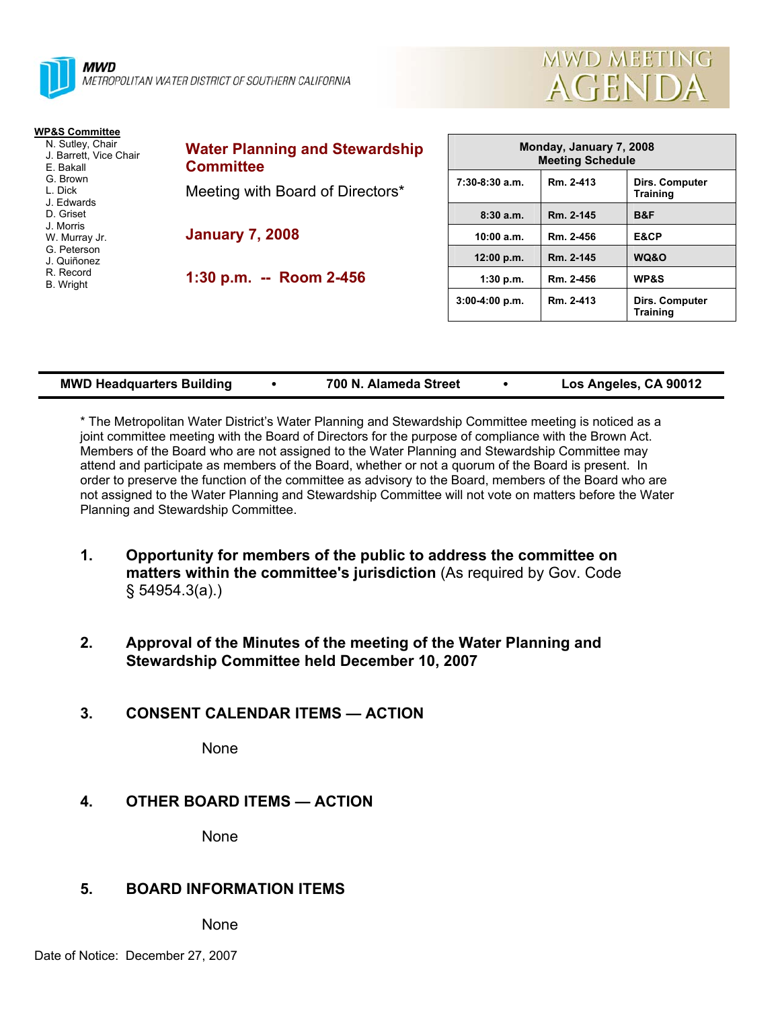



**Training** 

| <b>WP&amp;S Committee</b>                                                                    |                                                                                               |                                                    |           |                                   |
|----------------------------------------------------------------------------------------------|-----------------------------------------------------------------------------------------------|----------------------------------------------------|-----------|-----------------------------------|
| N. Sutley, Chair<br>J. Barrett, Vice Chair<br>E. Bakall<br>G. Brown<br>L. Dick<br>J. Edwards | <b>Water Planning and Stewardship</b><br><b>Committee</b><br>Meeting with Board of Directors* | Monday, January 7, 2008<br><b>Meeting Schedule</b> |           |                                   |
|                                                                                              |                                                                                               | $7:30-8:30$ a.m.                                   | Rm. 2-413 | Dirs. Computer<br><b>Training</b> |
| D. Griset                                                                                    |                                                                                               | 8:30a.m.                                           | Rm. 2-145 | B&F                               |
| J. Morris<br>W. Murray Jr.                                                                   | <b>January 7, 2008</b>                                                                        | 10:00 a.m.                                         | Rm. 2-456 | E&CP                              |
| G. Peterson<br>J. Quiñonez<br>R. Record<br><b>B.</b> Wright                                  | 1:30 p.m. -- Room 2-456                                                                       | 12:00 p.m.                                         | Rm. 2-145 | WQ&O                              |
|                                                                                              |                                                                                               | 1:30 p.m.                                          | Rm. 2-456 | <b>WP&amp;S</b>                   |
|                                                                                              |                                                                                               | $3:00-4:00$ p.m.                                   | Rm. 2-413 | <b>Dirs. Computer</b>             |

| <b>MWD Headquarters Building</b> |  | 700 N. Alameda Street |  | Los Angeles, CA 90012 |
|----------------------------------|--|-----------------------|--|-----------------------|
|----------------------------------|--|-----------------------|--|-----------------------|

\* The Metropolitan Water District's Water Planning and Stewardship Committee meeting is noticed as a joint committee meeting with the Board of Directors for the purpose of compliance with the Brown Act. Members of the Board who are not assigned to the Water Planning and Stewardship Committee may attend and participate as members of the Board, whether or not a quorum of the Board is present. In order to preserve the function of the committee as advisory to the Board, members of the Board who are not assigned to the Water Planning and Stewardship Committee will not vote on matters before the Water Planning and Stewardship Committee.

- **1. Opportunity for members of the public to address the committee on matters within the committee's jurisdiction** (As required by Gov. Code § 54954.3(a).)
- **2. Approval of the Minutes of the meeting of the Water Planning and Stewardship Committee held December 10, 2007**
- **3. CONSENT CALENDAR ITEMS ACTION**

None

# **4. OTHER BOARD ITEMS — ACTION**

None

# **5. BOARD INFORMATION ITEMS**

None